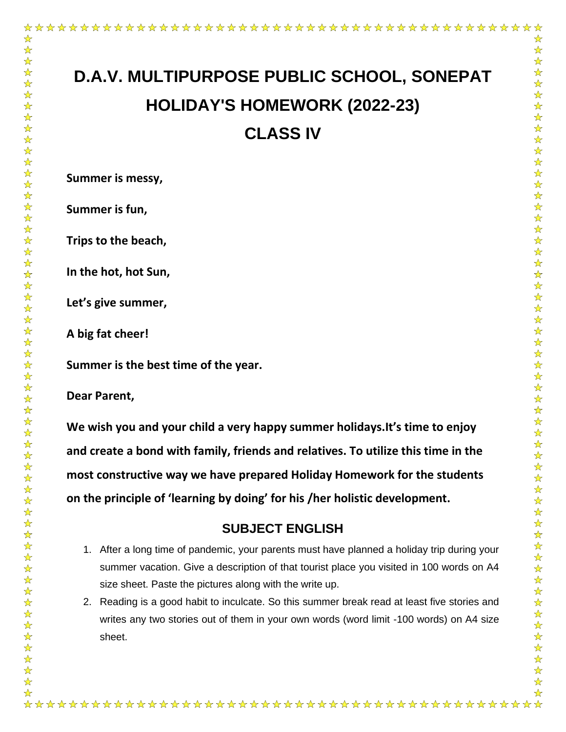☆

# **D.A.V. MULTIPURPOSE PUBLIC SCHOOL, SONEPAT HOLIDAY'S HOMEWORK (2022-23) CLASS IV**

☆  $\frac{1}{\sqrt{2}}$ 

 $\frac{1}{\mathbf{k}^{\prime}}$ 

 $\frac{1}{\sqrt{2}}$ 

公公公公

☆☆☆☆☆☆☆☆☆☆☆

计公众

计公

 $\frac{1}{\sqrt{2}}$ 

 $\frac{1}{\sqrt{2}}$ 

计计划

 $\frac{1}{\sqrt{2}}$  $\frac{1}{\mathbf{k}^2}$ 

 $\frac{1}{\sqrt{2}}$ 

 $\frac{1}{\sqrt{2}}$ 

 $\frac{1}{\sqrt{2}}$ 

卒卒

 $\frac{1}{\sqrt{2}}$ 

计公

 $\frac{\lambda}{\lambda}$  $\frac{1}{\mathbf{k}^{\prime}}$ 

 $\frac{1}{\sqrt{2}}$ 

 $\frac{1}{\sqrt{2}}$ 

 $\frac{1}{\sqrt{2}}$  $\frac{1}{\sqrt{2}}$ 

计公众

☆☆☆☆

 $\star$ 

 $\frac{1}{\sqrt{2}}$ 

☆☆☆☆☆☆☆

 $\frac{1}{\sqrt{2}}$ 

**Summer is messy,**

**Summer is fun,**

**Trips to the beach,**

**In the hot, hot Sun,**

**Let's give summer,**

**A big fat cheer!**

**Summer is the best time of the year.**

**Dear Parent,**

**We wish you and your child a very happy summer holidays.It's time to enjoy and create a bond with family, friends and relatives. To utilize this time in the most constructive way we have prepared Holiday Homework for the students on the principle of 'learning by doing' for his /her holistic development.**

## **SUBJECT ENGLISH**

- 1. After a long time of pandemic, your parents must have planned a holiday trip during your summer vacation. Give a description of that tourist place you visited in 100 words on A4 size sheet. Paste the pictures along with the write up.
- 2. Reading is a good habit to inculcate. So this summer break read at least five stories and writes any two stories out of them in your own words (word limit -100 words) on A4 size sheet.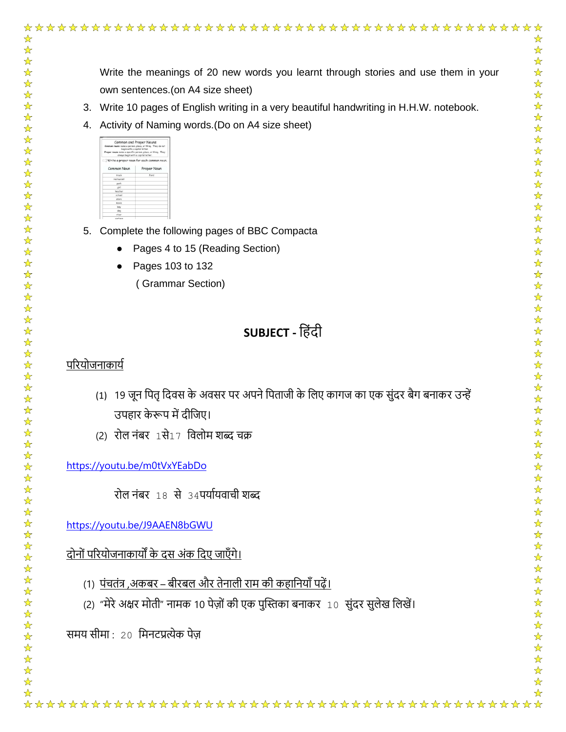|                                                                                                 | ☆                                                   |
|-------------------------------------------------------------------------------------------------|-----------------------------------------------------|
|                                                                                                 | $\frac{1}{\sqrt{2}}$<br>$\frac{1}{\sqrt{2}}$        |
| Write the meanings of 20 new words you learnt through stories and use them in your              | $\frac{1}{\sqrt{2}}$<br>$\frac{1}{\sqrt{2}}$        |
| own sentences. (on A4 size sheet)                                                               | $\frac{1}{\sqrt{2}}$                                |
| 3. Write 10 pages of English writing in a very beautiful handwriting in H.H.W. notebook.        | ☆<br>☆                                              |
| 4. Activity of Naming words. (Do on A4 size sheet)                                              | $\frac{1}{\sqrt{2}}$                                |
| Common and Proper Nouns<br>tame a person, place, or thing. They a<br>acts with a control latter | $\frac{1}{\sqrt{2}}$<br>$\frac{1}{\sqrt{2}}$        |
| Proper Noun                                                                                     | $\frac{1}{\sqrt{2}}$<br>$\frac{1}{\sqrt{2}}$        |
| estauron<br>eache                                                                               | $\frac{1}{\sqrt{2}}$                                |
| movie<br>boy                                                                                    | $\frac{1}{\sqrt{2}}$<br>$\frac{1}{\sqrt{2}}$        |
| dog                                                                                             | $\frac{1}{\sqrt{2}}$                                |
| Complete the following pages of BBC Compacta<br>5.                                              | $\frac{1}{\sqrt{2}}$<br>$\frac{1}{\sqrt{2}}$        |
| Pages 4 to 15 (Reading Section)                                                                 | $\frac{1}{\sqrt{2}}$                                |
| Pages 103 to 132                                                                                | $\frac{1}{\sqrt{2}}$<br>$\frac{1}{\sqrt{2}}$        |
| (Grammar Section)                                                                               | $\frac{1}{\sqrt{2}}$<br>$\frac{1}{\sqrt{2}}$        |
|                                                                                                 | $\frac{1}{\sqrt{2}}$                                |
| <b>SUBJECT</b> - हिंदी                                                                          | $\frac{1}{\sqrt{2}}$<br>$\frac{1}{\sqrt{2}}$        |
|                                                                                                 | ☆                                                   |
| प <u>रियोजनाकार्य</u>                                                                           | ☆<br>$\frac{1}{\sqrt{2}}$                           |
| (1) 19 जून पितृ दिवस के अवसर पर अपने पिताजी के लिए कागज का एक सुंदर बैग बनाकर उन्हें            | ☆<br>☆                                              |
|                                                                                                 | ☆<br>$\frac{1}{\sqrt{2}}$                           |
| उपहार केरूप में दीजिए।                                                                          | ☆                                                   |
| (2) रोल नंबर 1से17 विलोम शब्द चक्र                                                              | ☆<br>☆                                              |
| https://youtu.be/m0tVxYEabDo                                                                    | $\frac{1}{\sqrt{2}}$<br>$\frac{1}{\mathbf{k}}$      |
|                                                                                                 | $\frac{1}{\sqrt{2}}$                                |
| रोल नंबर 18 से 34पर्यायवाची शब्द                                                                | $\frac{1}{\mathbf{k}}$<br>$\frac{\lambda}{\lambda}$ |
|                                                                                                 | $\frac{1}{\sqrt{2}}$                                |
| https://youtu.be/J9AAEN8bGWU                                                                    | $\frac{\lambda}{\lambda}$<br>$\frac{1}{\sqrt{2}}$   |
| <u>दोनों परियोजनाकार्यों के दस अंक दिए जाएँगे।</u>                                              | $\frac{1}{\sqrt{2}}$                                |
|                                                                                                 | $\frac{1}{\sqrt{2}}$<br>$\frac{1}{\sqrt{2}}$        |
| <u>(1)  पंचतंत्र ,अकबर – बीरबल और तेनाली राम की कहानियाँ पढ़ें।</u>                             | $\frac{\lambda}{\lambda}$<br>$\frac{1}{\sqrt{2}}$   |
| (2) "मेरे अक्षर मोती" नामक 10 पेज़ों की एक पुस्तिका बनाकर 10) सुंदर सुलेख लिखें।                | $\frac{\lambda}{\lambda}$                           |
|                                                                                                 | $\frac{1}{\sqrt{2}}$<br>$\frac{1}{\sqrt{2}}$        |
| समय सीमा : 20 मिनटप्रत्येक पेज़                                                                 | $\frac{1}{\sqrt{2}}$                                |
|                                                                                                 | $\frac{1}{\sqrt{2}}$<br>$\frac{1}{\sqrt{2}}$        |
|                                                                                                 | $\frac{1}{\sqrt{2}}$                                |
|                                                                                                 | $\frac{1}{\sqrt{2}}$<br>$\frac{1}{\sqrt{2}}$        |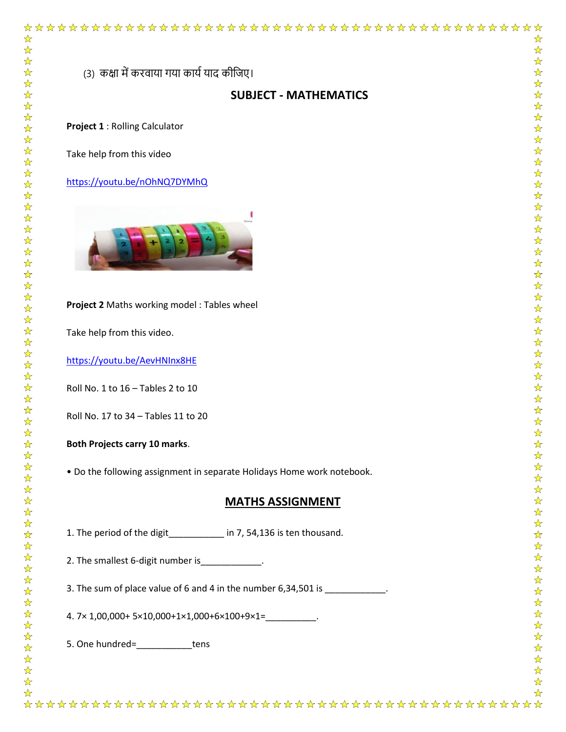(3) कक्षा में करवाया गया कार्य याद कीजिए।

## **SUBJECT - MATHEMATICS**

☆  $\frac{1}{N}$ 

 $\frac{1}{\sqrt{2}}$ 

 $\frac{1}{\mathcal{N}}$ 

☆☆☆☆☆☆☆☆☆☆☆☆☆☆☆

琴琴琴

55.

公众公众公

 $\frac{1}{\mathcal{N}}$ 

 $\frac{1}{\sqrt{2}}$ 

 $\frac{1}{\sqrt{2}}$ 

 $\frac{1}{\mathbf{k}^2}$ 

琴琴

 $\frac{1}{\sqrt{2}}$ 

卒

2222

 $\frac{\lambda}{\lambda}$ 

54 54

琴琴琴

 $\frac{1}{\sqrt{2}}$ 

华华华

작 차

 $\frac{\lambda}{\lambda}$  $\frac{1}{\sqrt{2}}$ 

公众公众公

☆

**Project 1** : Rolling Calculator

Take help from this video

<https://youtu.be/nOhNQ7DYMhQ>



#### **Project 2** Maths working model : Tables wheel

Take help from this video.

<https://youtu.be/AevHNInx8HE>

Roll No. 1 to 16 – Tables 2 to 10

Roll No. 17 to 34 – Tables 11 to 20

#### **Both Projects carry 10 marks**.

• Do the following assignment in separate Holidays Home work notebook.

### **MATHS ASSIGNMENT**

1. The period of the digit in 7, 54,136 is ten thousand.

2. The smallest 6-digit number is  $\qquad \qquad$ .

3. The sum of place value of 6 and 4 in the number 6,34,501 is \_\_\_\_\_\_\_\_\_\_\_\_.

4. 7× 1,00,000+ 5×10,000+1×1,000+6×100+9×1=\_\_\_\_\_\_\_\_\_\_.

5. One hundred=\_\_\_\_\_\_\_\_\_\_\_tens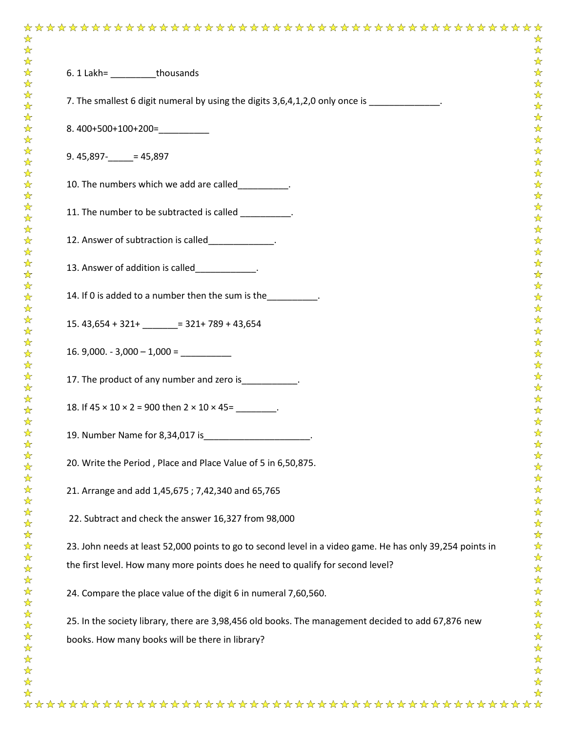| 6. 1 Lakh= thousands                                                                                      |
|-----------------------------------------------------------------------------------------------------------|
| 7. The smallest 6 digit numeral by using the digits 3,6,4,1,2,0 only once is ______________.              |
| $8.400+500+100+200=$                                                                                      |
| $9.45,897 - 45,897$                                                                                       |
| 10. The numbers which we add are called                                                                   |
| 11. The number to be subtracted is called _________.                                                      |
| 12. Answer of subtraction is called_____________.                                                         |
| 13. Answer of addition is called____________.                                                             |
| 14. If 0 is added to a number then the sum is the_________.                                               |
| $15.43,654 + 321 +$ = 321+789 + 43,654                                                                    |
| $16.9,000. - 3,000 - 1,000 =$                                                                             |
| 17. The product of any number and zero is ___________.                                                    |
| 18. If $45 \times 10 \times 2 = 900$ then $2 \times 10 \times 45 =$                                       |
| 19. Number Name for 8,34,017 is                                                                           |
| 20. Write the Period, Place and Place Value of 5 in 6,50,875.                                             |
| 21. Arrange and add 1,45,675; 7,42,340 and 65,765                                                         |
| 22. Subtract and check the answer 16,327 from 98,000                                                      |
| 23. John needs at least 52,000 points to go to second level in a video game. He has only 39,254 points in |
| the first level. How many more points does he need to qualify for second level?                           |
| 24. Compare the place value of the digit 6 in numeral 7,60,560.                                           |
| 25. In the society library, there are 3,98,456 old books. The management decided to add 67,876 new        |
| books. How many books will be there in library?                                                           |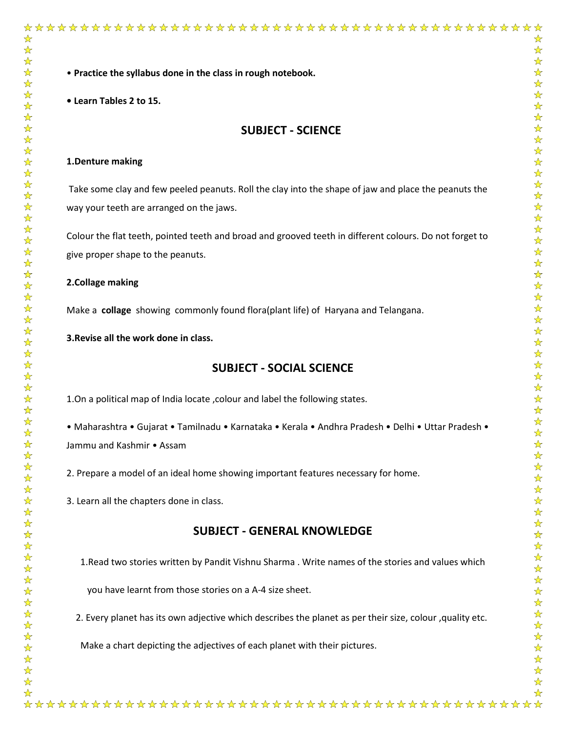• **Practice the syllabus done in the class in rough notebook.** 

**• Learn Tables 2 to 15.**

## **SUBJECT - SCIENCE**

#### **1.Denture making**

Take some clay and few peeled peanuts. Roll the clay into the shape of jaw and place the peanuts the way your teeth are arranged on the jaws.

Colour the flat teeth, pointed teeth and broad and grooved teeth in different colours. Do not forget to give proper shape to the peanuts.

#### **2.Collage making**

Make a **collage** showing commonly found flora(plant life) of Haryana and Telangana.

**3.Revise all the work done in class.**

#### **SUBJECT - SOCIAL SCIENCE**

1.On a political map of India locate ,colour and label the following states.

• Maharashtra • Gujarat • Tamilnadu • Karnataka • Kerala • Andhra Pradesh • Delhi • Uttar Pradesh • Jammu and Kashmir • Assam

2. Prepare a model of an ideal home showing important features necessary for home.

3. Learn all the chapters done in class.

## **SUBJECT - GENERAL KNOWLEDGE**

1.Read two stories written by Pandit Vishnu Sharma . Write names of the stories and values which

you have learnt from those stories on a A-4 size sheet.

2. Every planet has its own adjective which describes the planet as per their size, colour ,quality etc.

Make a chart depicting the adjectives of each planet with their pictures.

☆☆☆☆☆☆☆☆☆☆☆☆☆☆☆☆☆

计公众

 $\frac{1}{\sqrt{2}}$ 

计计划

 $\frac{1}{\sqrt{2}}$ 

 $\frac{1}{\mathbf{k}^2}$ 

 $\frac{\lambda}{\lambda}$ 

 $\frac{1}{\sqrt{2}}$ 

 $\frac{1}{\sqrt{2}}$ 

 $\frac{1}{\sqrt{2}}$  $\frac{1}{\sqrt{2}}$ 

 $\frac{1}{\mathbf{k}}$ 

 $\frac{\lambda}{\lambda}$ 

 $\frac{1}{\sqrt{2}}$ 

 $\frac{\lambda}{\lambda}$ 

24

 $\frac{1}{2}$ 

24

计公众

 $\frac{1}{\sqrt{2}}$ 

 $\frac{1}{\sqrt{2}}$ 

 $\frac{1}{\sqrt{2}}$ 

 $\frac{1}{\sqrt{2}}$ 

冷冷

 $\frac{1}{\sqrt{2}}$  $\frac{1}{\sqrt{2}}$ 

\*\*\*\*\*\*

 $\frac{1}{\sqrt{2}}$